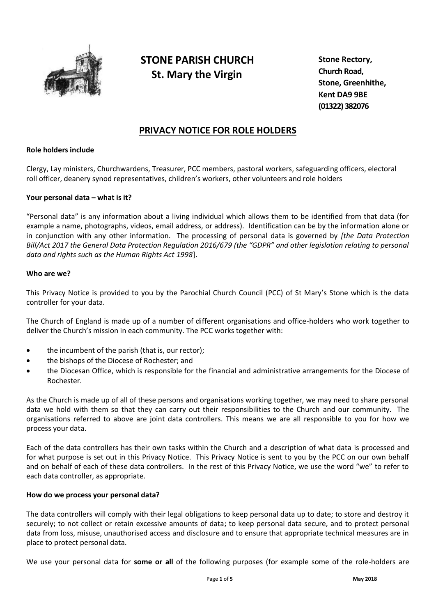

# **STONE PARISH CHURCH St. Mary the Virgin**

**Stone Rectory, Church Road, Stone, Greenhithe, Kent DA9 9BE (01322) 382076**

# **PRIVACY NOTICE FOR ROLE HOLDERS**

#### **Role holders include**

Clergy, Lay ministers, Churchwardens, Treasurer, PCC members, pastoral workers, safeguarding officers, electoral roll officer, deanery synod representatives, children's workers, other volunteers and role holders

#### **Your personal data – what is it?**

"Personal data" is any information about a living individual which allows them to be identified from that data (for example a name, photographs, videos, email address, or address). Identification can be by the information alone or in conjunction with any other information. The processing of personal data is governed by *[the Data Protection Bill/Act 2017 the General Data Protection Regulation 2016/679 (the "GDPR" and other legislation relating to personal data and rights such as the Human Rights Act 1998*].

#### **Who are we?**

This Privacy Notice is provided to you by the Parochial Church Council (PCC) of St Mary's Stone which is the data controller for your data.

The Church of England is made up of a number of different organisations and office-holders who work together to deliver the Church's mission in each community. The PCC works together with:

- the incumbent of the parish (that is, our rector);
- the bishops of the Diocese of Rochester; and
- the Diocesan Office, which is responsible for the financial and administrative arrangements for the Diocese of Rochester.

As the Church is made up of all of these persons and organisations working together, we may need to share personal data we hold with them so that they can carry out their responsibilities to the Church and our community. The organisations referred to above are joint data controllers. This means we are all responsible to you for how we process your data.

Each of the data controllers has their own tasks within the Church and a description of what data is processed and for what purpose is set out in this Privacy Notice. This Privacy Notice is sent to you by the PCC on our own behalf and on behalf of each of these data controllers. In the rest of this Privacy Notice, we use the word "we" to refer to each data controller, as appropriate.

#### **How do we process your personal data?**

The data controllers will comply with their legal obligations to keep personal data up to date; to store and destroy it securely; to not collect or retain excessive amounts of data; to keep personal data secure, and to protect personal data from loss, misuse, unauthorised access and disclosure and to ensure that appropriate technical measures are in place to protect personal data.

We use your personal data for **some or all** of the following purposes (for example some of the role-holders are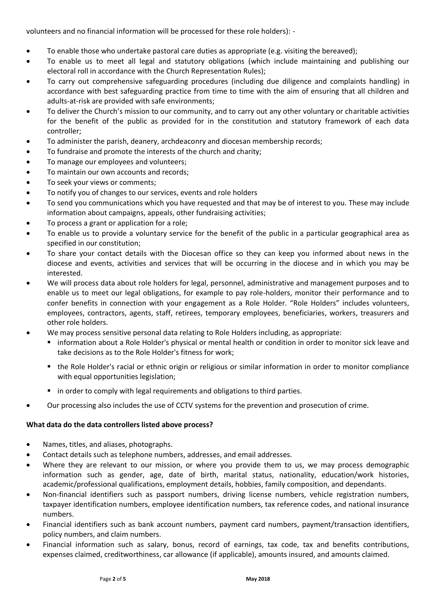volunteers and no financial information will be processed for these role holders): -

- To enable those who undertake pastoral care duties as appropriate (e.g. visiting the bereaved);
- To enable us to meet all legal and statutory obligations (which include maintaining and publishing our electoral roll in accordance with the Church Representation Rules);
- To carry out comprehensive safeguarding procedures (including due diligence and complaints handling) in accordance with best safeguarding practice from time to time with the aim of ensuring that all children and adults-at-risk are provided with safe environments;
- To deliver the Church's mission to our community, and to carry out any other voluntary or charitable activities for the benefit of the public as provided for in the constitution and statutory framework of each data controller;
- To administer the parish, deanery, archdeaconry and diocesan membership records;
- To fundraise and promote the interests of the church and charity;
- To manage our employees and volunteers;
- To maintain our own accounts and records;
- To seek your views or comments;
- To notify you of changes to our services, events and role holders
- To send you communications which you have requested and that may be of interest to you. These may include information about campaigns, appeals, other fundraising activities;
- To process a grant or application for a role;
- To enable us to provide a voluntary service for the benefit of the public in a particular geographical area as specified in our constitution;
- To share your contact details with the Diocesan office so they can keep you informed about news in the diocese and events, activities and services that will be occurring in the diocese and in which you may be interested.
- We will process data about role holders for legal, personnel, administrative and management purposes and to enable us to meet our legal obligations, for example to pay role-holders, monitor their performance and to confer benefits in connection with your engagement as a Role Holder. "Role Holders" includes volunteers, employees, contractors, agents, staff, retirees, temporary employees, beneficiaries, workers, treasurers and other role holders.
- We may process sensitive personal data relating to Role Holders including, as appropriate:
	- information about a Role Holder's physical or mental health or condition in order to monitor sick leave and take decisions as to the Role Holder's fitness for work;
	- the Role Holder's racial or ethnic origin or religious or similar information in order to monitor compliance with equal opportunities legislation;
	- **in order to comply with legal requirements and obligations to third parties.**
- Our processing also includes the use of CCTV systems for the prevention and prosecution of crime.

## **What data do the data controllers listed above process?**

- Names, titles, and aliases, photographs.
- Contact details such as telephone numbers, addresses, and email addresses.
- Where they are relevant to our mission, or where you provide them to us, we may process demographic information such as gender, age, date of birth, marital status, nationality, education/work histories, academic/professional qualifications, employment details, hobbies, family composition, and dependants.
- Non-financial identifiers such as passport numbers, driving license numbers, vehicle registration numbers, taxpayer identification numbers, employee identification numbers, tax reference codes, and national insurance numbers.
- Financial identifiers such as bank account numbers, payment card numbers, payment/transaction identifiers, policy numbers, and claim numbers.
- Financial information such as salary, bonus, record of earnings, tax code, tax and benefits contributions, expenses claimed, creditworthiness, car allowance (if applicable), amounts insured, and amounts claimed.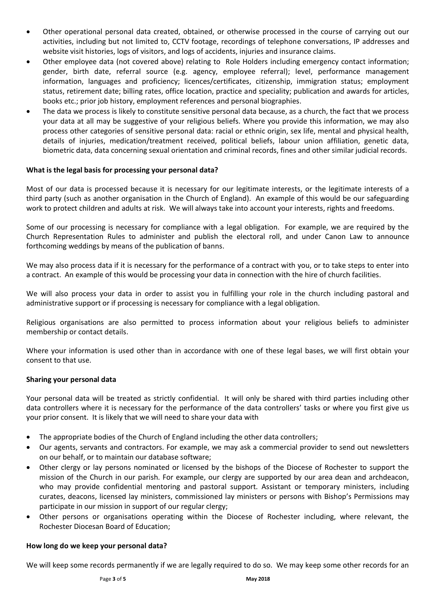- Other operational personal data created, obtained, or otherwise processed in the course of carrying out our activities, including but not limited to, CCTV footage, recordings of telephone conversations, IP addresses and website visit histories, logs of visitors, and logs of accidents, injuries and insurance claims.
- Other employee data (not covered above) relating to Role Holders including emergency contact information; gender, birth date, referral source (e.g. agency, employee referral); level, performance management information, languages and proficiency; licences/certificates, citizenship, immigration status; employment status, retirement date; billing rates, office location, practice and speciality; publication and awards for articles, books etc.; prior job history, employment references and personal biographies.
- The data we process is likely to constitute sensitive personal data because, as a church, the fact that we process your data at all may be suggestive of your religious beliefs. Where you provide this information, we may also process other categories of sensitive personal data: racial or ethnic origin, sex life, mental and physical health, details of injuries, medication/treatment received, political beliefs, labour union affiliation, genetic data, biometric data, data concerning sexual orientation and criminal records, fines and other similar judicial records.

#### **What is the legal basis for processing your personal data?**

Most of our data is processed because it is necessary for our legitimate interests, or the legitimate interests of a third party (such as another organisation in the Church of England). An example of this would be our safeguarding work to protect children and adults at risk. We will always take into account your interests, rights and freedoms.

Some of our processing is necessary for compliance with a legal obligation. For example, we are required by the Church Representation Rules to administer and publish the electoral roll, and under Canon Law to announce forthcoming weddings by means of the publication of banns.

We may also process data if it is necessary for the performance of a contract with you, or to take steps to enter into a contract. An example of this would be processing your data in connection with the hire of church facilities.

We will also process your data in order to assist you in fulfilling your role in the church including pastoral and administrative support or if processing is necessary for compliance with a legal obligation.

Religious organisations are also permitted to process information about your religious beliefs to administer membership or contact details.

Where your information is used other than in accordance with one of these legal bases, we will first obtain your consent to that use.

#### **Sharing your personal data**

Your personal data will be treated as strictly confidential. It will only be shared with third parties including other data controllers where it is necessary for the performance of the data controllers' tasks or where you first give us your prior consent. It is likely that we will need to share your data with

- The appropriate bodies of the Church of England including the other data controllers;
- Our agents, servants and contractors. For example, we may ask a commercial provider to send out newsletters on our behalf, or to maintain our database software;
- Other clergy or lay persons nominated or licensed by the bishops of the Diocese of Rochester to support the mission of the Church in our parish. For example, our clergy are supported by our area dean and archdeacon, who may provide confidential mentoring and pastoral support. Assistant or temporary ministers, including curates, deacons, licensed lay ministers, commissioned lay ministers or persons with Bishop's Permissions may participate in our mission in support of our regular clergy;
- Other persons or organisations operating within the Diocese of Rochester including, where relevant, the Rochester Diocesan Board of Education;

#### **How long do we keep your personal data?**

We will keep some records permanently if we are legally required to do so. We may keep some other records for an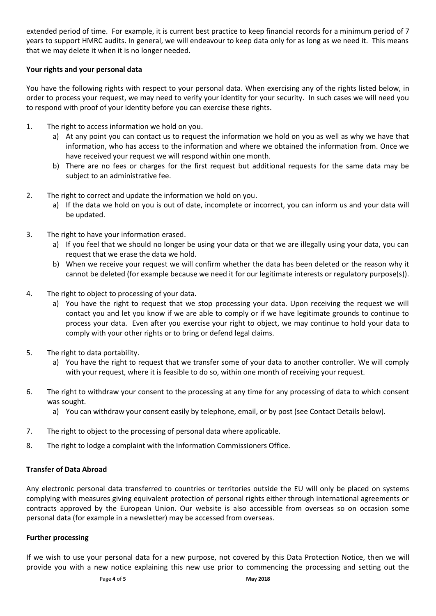extended period of time. For example, it is current best practice to keep financial records for a minimum period of 7 years to support HMRC audits. In general, we will endeavour to keep data only for as long as we need it. This means that we may delete it when it is no longer needed.

### **Your rights and your personal data**

You have the following rights with respect to your personal data. When exercising any of the rights listed below, in order to process your request, we may need to verify your identity for your security. In such cases we will need you to respond with proof of your identity before you can exercise these rights.

- 1. The right to access information we hold on you.
	- a) At any point you can contact us to request the information we hold on you as well as why we have that information, who has access to the information and where we obtained the information from. Once we have received your request we will respond within one month.
	- b) There are no fees or charges for the first request but additional requests for the same data may be subject to an administrative fee.
- 2. The right to correct and update the information we hold on you.
	- a) If the data we hold on you is out of date, incomplete or incorrect, you can inform us and your data will be updated.
- 3. The right to have your information erased.
	- a) If you feel that we should no longer be using your data or that we are illegally using your data, you can request that we erase the data we hold.
	- b) When we receive your request we will confirm whether the data has been deleted or the reason why it cannot be deleted (for example because we need it for our legitimate interests or regulatory purpose(s)).
- 4. The right to object to processing of your data.
	- a) You have the right to request that we stop processing your data. Upon receiving the request we will contact you and let you know if we are able to comply or if we have legitimate grounds to continue to process your data. Even after you exercise your right to object, we may continue to hold your data to comply with your other rights or to bring or defend legal claims.
- 5. The right to data portability.
	- a) You have the right to request that we transfer some of your data to another controller. We will comply with your request, where it is feasible to do so, within one month of receiving your request.
- 6. The right to withdraw your consent to the processing at any time for any processing of data to which consent was sought.
	- a) You can withdraw your consent easily by telephone, email, or by post (see Contact Details below).
- 7. The right to object to the processing of personal data where applicable.
- 8. The right to lodge a complaint with the Information Commissioners Office.

#### **Transfer of Data Abroad**

Any electronic personal data transferred to countries or territories outside the EU will only be placed on systems complying with measures giving equivalent protection of personal rights either through international agreements or contracts approved by the European Union. Our website is also accessible from overseas so on occasion some personal data (for example in a newsletter) may be accessed from overseas.

#### **Further processing**

If we wish to use your personal data for a new purpose, not covered by this Data Protection Notice, then we will provide you with a new notice explaining this new use prior to commencing the processing and setting out the